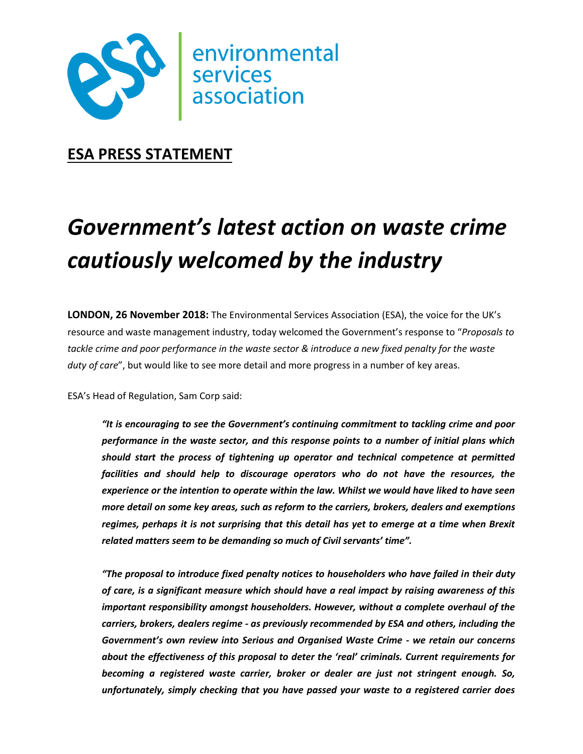

# **ESA PRESS STATEMENT**

# *Government's latest action on waste crime cautiously welcomed by the industry*

**LONDON, 26 November 2018:** The Environmental Services Association (ESA), the voice for the UK's resource and waste management industry, today welcomed the Government's response to "*Proposals to tackle crime and poor performance in the waste sector & introduce a new fixed penalty for the waste duty of care*", but would like to see more detail and more progress in a number of key areas.

ESA's Head of Regulation, Sam Corp said:

*"It is encouraging to see the Government's continuing commitment to tackling crime and poor performance in the waste sector, and this response points to a number of initial plans which should start the process of tightening up operator and technical competence at permitted facilities and should help to discourage operators who do not have the resources, the experience or the intention to operate within the law. Whilst we would have liked to have seen more detail on some key areas, such as reform to the carriers, brokers, dealers and exemptions regimes, perhaps it is not surprising that this detail has yet to emerge at a time when Brexit related matters seem to be demanding so much of Civil servants' time".* 

*"The proposal to introduce fixed penalty notices to householders who have failed in their duty of care, is a significant measure which should have a real impact by raising awareness of this important responsibility amongst householders. However, without a complete overhaul of the carriers, brokers, dealers regime - as previously recommended by ESA and others, including the Government's own review into Serious and Organised Waste Crime - we retain our concerns about the effectiveness of this proposal to deter the 'real' criminals. Current requirements for becoming a registered waste carrier, broker or dealer are just not stringent enough. So, unfortunately, simply checking that you have passed your waste to a registered carrier does*